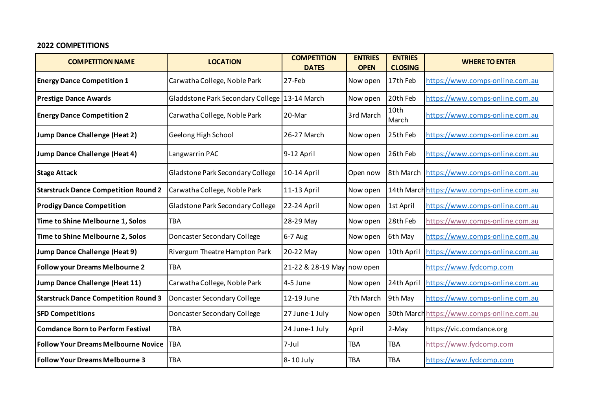## **2022 COMPETITIONS**

| <b>COMPETITION NAME</b>                     | <b>LOCATION</b>                                 | <b>COMPETITION</b><br><b>DATES</b> | <b>ENTRIES</b><br><b>OPEN</b> | <b>ENTRIES</b><br><b>CLOSING</b> | <b>WHERE TO ENTER</b>                      |
|---------------------------------------------|-------------------------------------------------|------------------------------------|-------------------------------|----------------------------------|--------------------------------------------|
| <b>Energy Dance Competition 1</b>           | Carwatha College, Noble Park                    | $27$ -Feb                          | Now open                      | 17th Feb                         | https://www.comps-online.com.au            |
| <b>Prestige Dance Awards</b>                | Gladdstone Park Secondary College   13-14 March |                                    | Now open                      | 20th Feb                         | https://www.comps-online.com.au            |
| <b>Energy Dance Competition 2</b>           | Carwatha College, Noble Park                    | 20-Mar                             | 3rd March                     | 10th<br>March                    | https://www.comps-online.com.au            |
| <b>Jump Dance Challenge (Heat 2)</b>        | Geelong High School                             | 26-27 March                        | Now open                      | 25th Feb                         | https://www.comps-online.com.au            |
| <b>Jump Dance Challenge (Heat 4)</b>        | Langwarrin PAC                                  | 9-12 April                         | Now open                      | 26th Feb                         | https://www.comps-online.com.au            |
| <b>Stage Attack</b>                         | Gladstone Park Secondary College                | 10-14 April                        | Open now                      | 8th March                        | https://www.comps-online.com.au            |
| <b>Starstruck Dance Competition Round 2</b> | Carwatha College, Noble Park                    | 11-13 April                        | Now open                      |                                  | 14th March https://www.comps-online.com.au |
| <b>Prodigy Dance Competition</b>            | Gladstone Park Secondary College                | 22-24 April                        | Now open                      | 1st April                        | https://www.comps-online.com.au            |
| Time to Shine Melbourne 1, Solos            | <b>TBA</b>                                      | 28-29 May                          | Now open                      | 28th Feb                         | https://www.comps-online.com.au            |
| Time to Shine Melbourne 2, Solos            | Doncaster Secondary College                     | 6-7 Aug                            | Now open                      | 6th May                          | https://www.comps-online.com.au            |
| <b>Jump Dance Challenge (Heat 9)</b>        | Rivergum Theatre Hampton Park                   | 20-22 May                          | Now open                      | 10th April                       | https://www.comps-online.com.au            |
| <b>Follow your Dreams Melbourne 2</b>       | <b>TBA</b>                                      | 21-22 & 28-19 May now open         |                               |                                  | https://www.fydcomp.com                    |
| <b>Jump Dance Challenge (Heat 11)</b>       | Carwatha College, Noble Park                    | 4-5 June                           | Now open                      | 24th April                       | https://www.comps-online.com.au            |
| <b>Starstruck Dance Competition Round 3</b> | Doncaster Secondary College                     | 12-19 June                         | 7th March                     | 9th May                          | https://www.comps-online.com.au            |
| <b>SFD Competitions</b>                     | Doncaster Secondary College                     | 27 June-1 July                     | Now open                      |                                  | 30th March https://www.comps-online.com.au |
| <b>Comdance Born to Perform Festival</b>    | <b>TBA</b>                                      | 24 June-1 July                     | April                         | 2-May                            | https://vic.comdance.org                   |
| <b>Follow Your Dreams Melbourne Novice</b>  | <b>TBA</b>                                      | $7 -$ Jul                          | <b>TBA</b>                    | <b>TBA</b>                       | https://www.fydcomp.com                    |
| <b>Follow Your Dreams Melbourne 3</b>       | <b>TBA</b>                                      | 8-10 July                          | <b>TBA</b>                    | <b>TBA</b>                       | https://www.fydcomp.com                    |